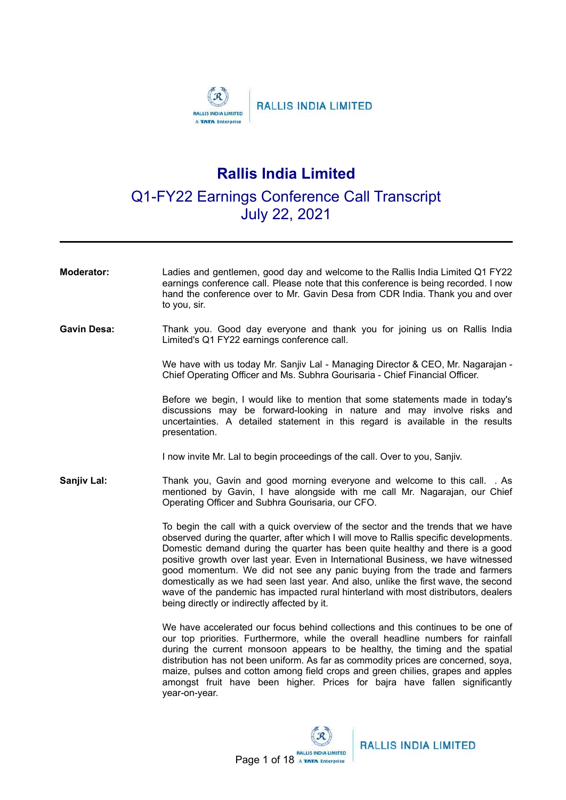

## **Rallis India Limited**

## Q1-FY22 Earnings Conference Call Transcript July 22, 2021

| <b>Moderator:</b>  | Ladies and gentlemen, good day and welcome to the Rallis India Limited Q1 FY22<br>earnings conference call. Please note that this conference is being recorded. I now<br>hand the conference over to Mr. Gavin Desa from CDR India. Thank you and over<br>to you, sir.                                                                                                                                                                                                                                                                                                                                                                                    |
|--------------------|-----------------------------------------------------------------------------------------------------------------------------------------------------------------------------------------------------------------------------------------------------------------------------------------------------------------------------------------------------------------------------------------------------------------------------------------------------------------------------------------------------------------------------------------------------------------------------------------------------------------------------------------------------------|
| <b>Gavin Desa:</b> | Thank you. Good day everyone and thank you for joining us on Rallis India<br>Limited's Q1 FY22 earnings conference call.                                                                                                                                                                                                                                                                                                                                                                                                                                                                                                                                  |
|                    | We have with us today Mr. Sanjiv Lal - Managing Director & CEO, Mr. Nagarajan -<br>Chief Operating Officer and Ms. Subhra Gourisaria - Chief Financial Officer.                                                                                                                                                                                                                                                                                                                                                                                                                                                                                           |
|                    | Before we begin, I would like to mention that some statements made in today's<br>discussions may be forward-looking in nature and may involve risks and<br>uncertainties. A detailed statement in this regard is available in the results<br>presentation.                                                                                                                                                                                                                                                                                                                                                                                                |
|                    | I now invite Mr. Lal to begin proceedings of the call. Over to you, Sanjiv.                                                                                                                                                                                                                                                                                                                                                                                                                                                                                                                                                                               |
| Sanjiv Lal:        | Thank you, Gavin and good morning everyone and welcome to this call. . As<br>mentioned by Gavin, I have alongside with me call Mr. Nagarajan, our Chief<br>Operating Officer and Subhra Gourisaria, our CFO.                                                                                                                                                                                                                                                                                                                                                                                                                                              |
|                    | To begin the call with a quick overview of the sector and the trends that we have<br>observed during the quarter, after which I will move to Rallis specific developments.<br>Domestic demand during the quarter has been quite healthy and there is a good<br>positive growth over last year. Even in International Business, we have witnessed<br>good momentum. We did not see any panic buying from the trade and farmers<br>domestically as we had seen last year. And also, unlike the first wave, the second<br>wave of the pandemic has impacted rural hinterland with most distributors, dealers<br>being directly or indirectly affected by it. |
|                    | We have accelerated our focus behind collections and this continues to be one of<br>our top priorities. Furthermore, while the overall headline numbers for rainfall<br>during the current monsoon appears to be healthy, the timing and the spatial<br>distribution has not been uniform. As far as commodity prices are concerned, soya,<br>maize, pulses and cotton among field crops and green chilies, grapes and apples<br>amongst fruit have been higher. Prices for bajra have fallen significantly<br>year-on-year.                                                                                                                              |

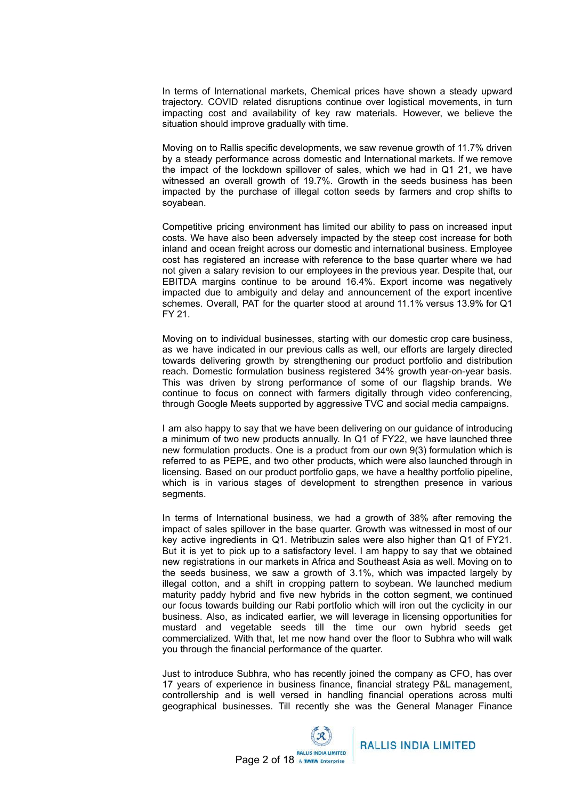In terms of International markets, Chemical prices have shown a steady upward trajectory. COVID related disruptions continue over logistical movements, in turn impacting cost and availability of key raw materials. However, we believe the situation should improve gradually with time.

Moving on to Rallis specific developments, we saw revenue growth of 11.7% driven by a steady performance across domestic and International markets. If we remove the impact of the lockdown spillover of sales, which we had in Q1 21, we have witnessed an overall growth of 19.7%. Growth in the seeds business has been impacted by the purchase of illegal cotton seeds by farmers and crop shifts to soyabean.

Competitive pricing environment has limited our ability to pass on increased input costs. We have also been adversely impacted by the steep cost increase for both inland and ocean freight across our domestic and international business. Employee cost has registered an increase with reference to the base quarter where we had not given a salary revision to our employees in the previous year. Despite that, our EBITDA margins continue to be around 16.4%. Export income was negatively impacted due to ambiguity and delay and announcement of the export incentive schemes. Overall, PAT for the quarter stood at around 11.1% versus 13.9% for Q1 FY 21.

Moving on to individual businesses, starting with our domestic crop care business, as we have indicated in our previous calls as well, our efforts are largely directed towards delivering growth by strengthening our product portfolio and distribution reach. Domestic formulation business registered 34% growth year-on-year basis. This was driven by strong performance of some of our flagship brands. We continue to focus on connect with farmers digitally through video conferencing, through Google Meets supported by aggressive TVC and social media campaigns.

I am also happy to say that we have been delivering on our guidance of introducing a minimum of two new products annually. In Q1 of FY22, we have launched three new formulation products. One is a product from our own 9(3) formulation which is referred to as PEPE, and two other products, which were also launched through in licensing. Based on our product portfolio gaps, we have a healthy portfolio pipeline, which is in various stages of development to strengthen presence in various segments.

In terms of International business, we had a growth of 38% after removing the impact of sales spillover in the base quarter. Growth was witnessed in most of our key active ingredients in Q1. Metribuzin sales were also higher than Q1 of FY21. But it is yet to pick up to a satisfactory level. I am happy to say that we obtained new registrations in our markets in Africa and Southeast Asia as well. Moving on to the seeds business, we saw a growth of 3.1%, which was impacted largely by illegal cotton, and a shift in cropping pattern to soybean. We launched medium maturity paddy hybrid and five new hybrids in the cotton segment, we continued our focus towards building our Rabi portfolio which will iron out the cyclicity in our business. Also, as indicated earlier, we will leverage in licensing opportunities for mustard and vegetable seeds till the time our own hybrid seeds get commercialized. With that, let me now hand over the floor to Subhra who will walk you through the financial performance of the quarter.

Just to introduce Subhra, who has recently joined the company as CFO, has over 17 years of experience in business finance, financial strategy P&L management, controllership and is well versed in handling financial operations across multi geographical businesses. Till recently she was the General Manager Finance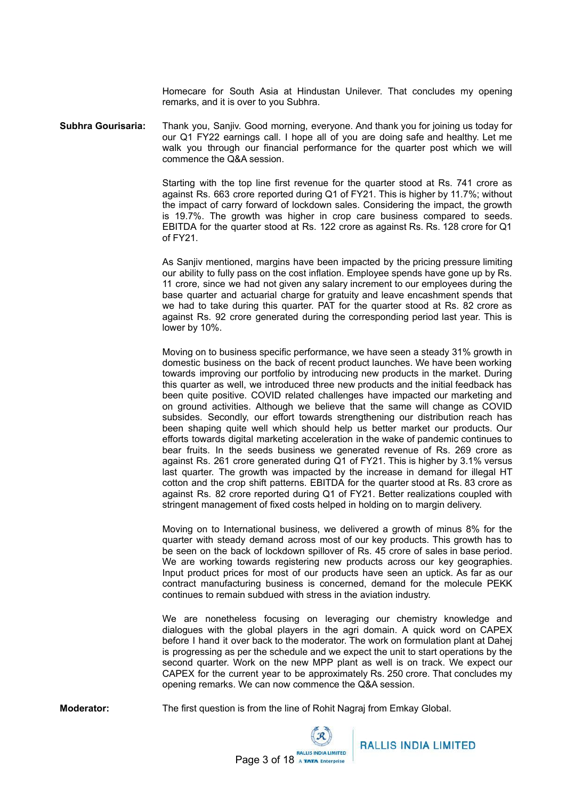Homecare for South Asia at Hindustan Unilever. That concludes my opening remarks, and it is over to you Subhra.

**Subhra Gourisaria:** Thank you, Sanjiv. Good morning, everyone. And thank you for joining us today for our Q1 FY22 earnings call. I hope all of you are doing safe and healthy. Let me walk you through our financial performance for the quarter post which we will commence the Q&A session.

> Starting with the top line first revenue for the quarter stood at Rs. 741 crore as against Rs. 663 crore reported during Q1 of FY21. This is higher by 11.7%; without the impact of carry forward of lockdown sales. Considering the impact, the growth is 19.7%. The growth was higher in crop care business compared to seeds. EBITDA for the quarter stood at Rs. 122 crore as against Rs. Rs. 128 crore for Q1 of FY21.

> As Sanjiv mentioned, margins have been impacted by the pricing pressure limiting our ability to fully pass on the cost inflation. Employee spends have gone up by Rs. 11 crore, since we had not given any salary increment to our employees during the base quarter and actuarial charge for gratuity and leave encashment spends that we had to take during this quarter. PAT for the quarter stood at Rs. 82 crore as against Rs. 92 crore generated during the corresponding period last year. This is lower by 10%.

> Moving on to business specific performance, we have seen a steady 31% growth in domestic business on the back of recent product launches. We have been working towards improving our portfolio by introducing new products in the market. During this quarter as well, we introduced three new products and the initial feedback has been quite positive. COVID related challenges have impacted our marketing and on ground activities. Although we believe that the same will change as COVID subsides. Secondly, our effort towards strengthening our distribution reach has been shaping quite well which should help us better market our products. Our efforts towards digital marketing acceleration in the wake of pandemic continues to bear fruits. In the seeds business we generated revenue of Rs. 269 crore as against Rs. 261 crore generated during Q1 of FY21. This is higher by 3.1% versus last quarter. The growth was impacted by the increase in demand for illegal HT cotton and the crop shift patterns. EBITDA for the quarter stood at Rs. 83 crore as against Rs. 82 crore reported during Q1 of FY21. Better realizations coupled with stringent management of fixed costs helped in holding on to margin delivery.

> Moving on to International business, we delivered a growth of minus 8% for the quarter with steady demand across most of our key products. This growth has to be seen on the back of lockdown spillover of Rs. 45 crore of sales in base period. We are working towards registering new products across our key geographies. Input product prices for most of our products have seen an uptick. As far as our contract manufacturing business is concerned, demand for the molecule PEKK continues to remain subdued with stress in the aviation industry.

> We are nonetheless focusing on leveraging our chemistry knowledge and dialogues with the global players in the agri domain. A quick word on CAPEX before I hand it over back to the moderator. The work on formulation plant at Dahej is progressing as per the schedule and we expect the unit to start operations by the second quarter. Work on the new MPP plant as well is on track. We expect our CAPEX for the current year to be approximately Rs. 250 crore. That concludes my opening remarks. We can now commence the Q&A session.

**Moderator:** The first question is from the line of Rohit Nagraj from Emkay Global.

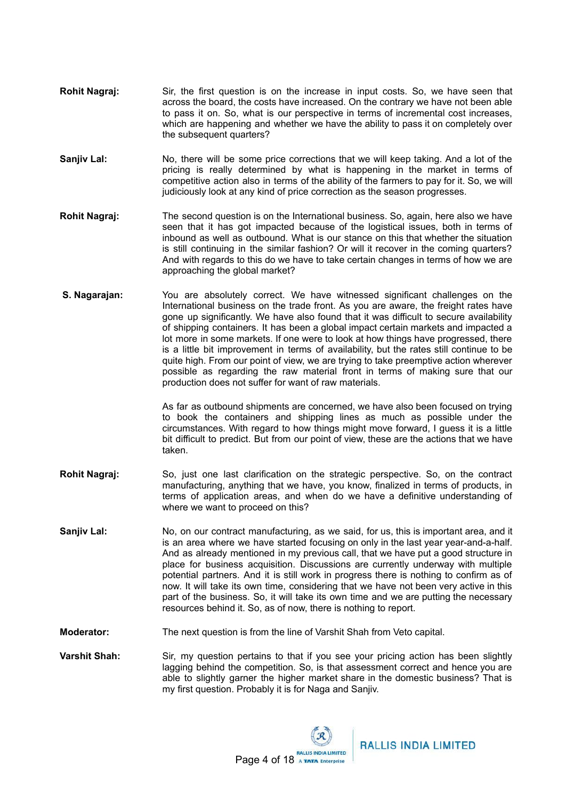- **Rohit Nagraj:** Sir, the first question is on the increase in input costs. So, we have seen that across the board, the costs have increased. On the contrary we have not been able to pass it on. So, what is our perspective in terms of incremental cost increases, which are happening and whether we have the ability to pass it on completely over the subsequent quarters?
- **Sanjiv Lal:** No, there will be some price corrections that we will keep taking. And a lot of the pricing is really determined by what is happening in the market in terms of competitive action also in terms of the ability of the farmers to pay for it. So, we will judiciously look at any kind of price correction as the season progresses.
- **Rohit Nagraj:** The second question is on the International business. So, again, here also we have seen that it has got impacted because of the logistical issues, both in terms of inbound as well as outbound. What is our stance on this that whether the situation is still continuing in the similar fashion? Or will it recover in the coming quarters? And with regards to this do we have to take certain changes in terms of how we are approaching the global market?
- **S. Nagarajan:** You are absolutely correct. We have witnessed significant challenges on the International business on the trade front. As you are aware, the freight rates have gone up significantly. We have also found that it was difficult to secure availability of shipping containers. It has been a global impact certain markets and impacted a lot more in some markets. If one were to look at how things have progressed, there is a little bit improvement in terms of availability, but the rates still continue to be quite high. From our point of view, we are trying to take preemptive action wherever possible as regarding the raw material front in terms of making sure that our production does not suffer for want of raw materials.

As far as outbound shipments are concerned, we have also been focused on trying to book the containers and shipping lines as much as possible under the circumstances. With regard to how things might move forward, I guess it is a little bit difficult to predict. But from our point of view, these are the actions that we have taken.

- **Rohit Nagraj:** So, just one last clarification on the strategic perspective. So, on the contract manufacturing, anything that we have, you know, finalized in terms of products, in terms of application areas, and when do we have a definitive understanding of where we want to proceed on this?
- **Sanjiv Lal:** No, on our contract manufacturing, as we said, for us, this is important area, and it is an area where we have started focusing on only in the last year year-and-a-half. And as already mentioned in my previous call, that we have put a good structure in place for business acquisition. Discussions are currently underway with multiple potential partners. And it is still work in progress there is nothing to confirm as of now. It will take its own time, considering that we have not been very active in this part of the business. So, it will take its own time and we are putting the necessary resources behind it. So, as of now, there is nothing to report.
- **Moderator:** The next question is from the line of Varshit Shah from Veto capital.
- **Varshit Shah:** Sir, my question pertains to that if you see your pricing action has been slightly lagging behind the competition. So, is that assessment correct and hence you are able to slightly garner the higher market share in the domestic business? That is my first question. Probably it is for Naga and Sanjiv.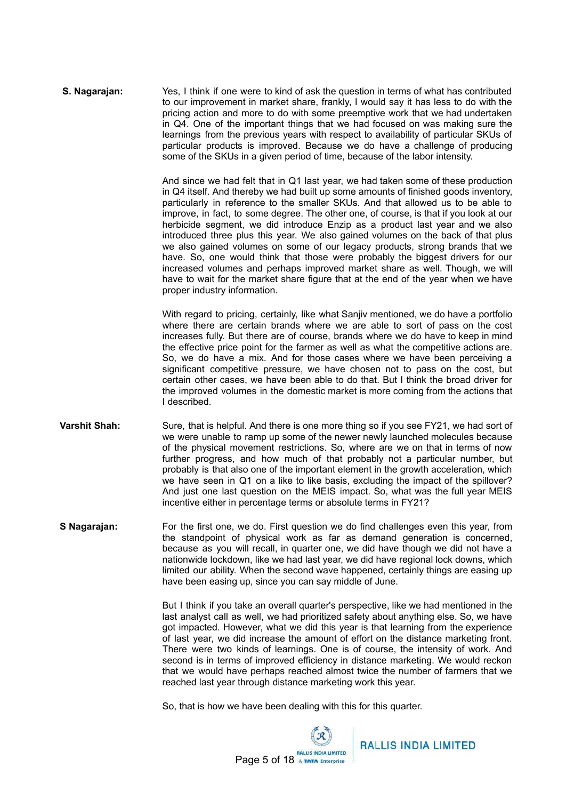**S. Nagarajan:** Yes, I think if one were to kind of ask the question in terms of what has contributed to our improvement in market share, frankly, I would say it has less to do with the pricing action and more to do with some preemptive work that we had undertaken in Q4. One of the important things that we had focused on was making sure the learnings from the previous years with respect to availability of particular SKUs of particular products is improved. Because we do have a challenge of producing some of the SKUs in a given period of time, because of the labor intensity.

> And since we had felt that in Q1 last year, we had taken some of these production in Q4 itself. And thereby we had built up some amounts of finished goods inventory, particularly in reference to the smaller SKUs. And that allowed us to be able to improve, in fact, to some degree. The other one, of course, is that if you look at our herbicide segment, we did introduce Enzip as a product last year and we also introduced three plus this year. We also gained volumes on the back of that plus we also gained volumes on some of our legacy products, strong brands that we have. So, one would think that those were probably the biggest drivers for our increased volumes and perhaps improved market share as well. Though, we will have to wait for the market share figure that at the end of the year when we have proper industry information.

> With regard to pricing, certainly, like what Sanjiv mentioned, we do have a portfolio where there are certain brands where we are able to sort of pass on the cost increases fully. But there are of course, brands where we do have to keep in mind the effective price point for the farmer as well as what the competitive actions are. So, we do have a mix. And for those cases where we have been perceiving a significant competitive pressure, we have chosen not to pass on the cost, but certain other cases, we have been able to do that. But I think the broad driver for the improved volumes in the domestic market is more coming from the actions that I described.

- **Varshit Shah:** Sure, that is helpful. And there is one more thing so if you see FY21, we had sort of we were unable to ramp up some of the newer newly launched molecules because of the physical movement restrictions. So, where are we on that in terms of now further progress, and how much of that probably not a particular number, but probably is that also one of the important element in the growth acceleration, which we have seen in Q1 on a like to like basis, excluding the impact of the spillover? And just one last question on the MEIS impact. So, what was the full year MEIS incentive either in percentage terms or absolute terms in FY21?
- **S Nagarajan:** For the first one, we do. First question we do find challenges even this year, from the standpoint of physical work as far as demand generation is concerned, because as you will recall, in quarter one, we did have though we did not have a nationwide lockdown, like we had last year, we did have regional lock downs, which limited our ability. When the second wave happened, certainly things are easing up have been easing up, since you can say middle of June.

But I think if you take an overall quarter's perspective, like we had mentioned in the last analyst call as well, we had prioritized safety about anything else. So, we have got impacted. However, what we did this year is that learning from the experience of last year, we did increase the amount of effort on the distance marketing front. There were two kinds of learnings. One is of course, the intensity of work. And second is in terms of improved efficiency in distance marketing. We would reckon that we would have perhaps reached almost twice the number of farmers that we reached last year through distance marketing work this year.

So, that is how we have been dealing with this for this quarter.

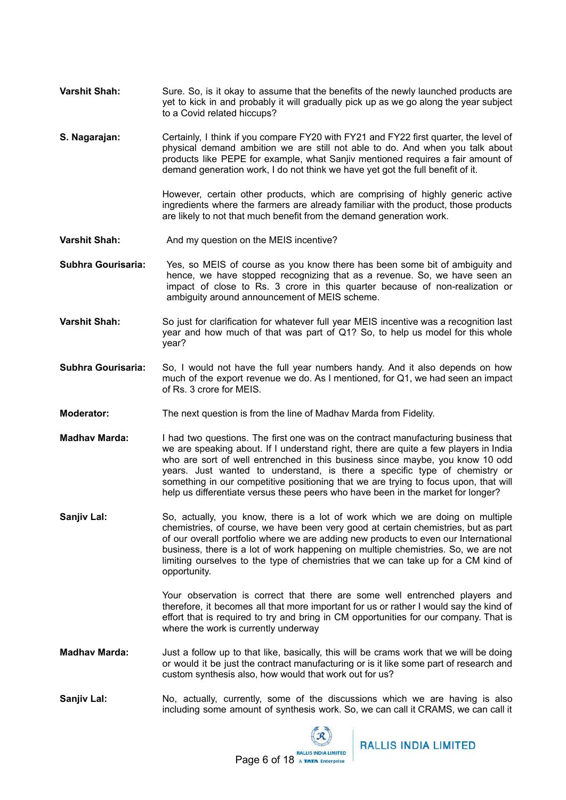- **Varshit Shah:** Sure. So, is it okay to assume that the benefits of the newly launched products are yet to kick in and probably it will gradually pick up as we go along the year subject to a Covid related hiccups?
- **S. Nagarajan:** Certainly, I think if you compare FY20 with FY21 and FY22 first quarter, the level of physical demand ambition we are still not able to do. And when you talk about products like PEPE for example, what Sanjiv mentioned requires a fair amount of demand generation work, I do not think we have yet got the full benefit of it.

However, certain other products, which are comprising of highly generic active ingredients where the farmers are already familiar with the product, those products are likely to not that much benefit from the demand generation work.

**Varshit Shah:** And my question on the MEIS incentive?

**Subhra Gourisaria:** Yes, so MEIS of course as you know there has been some bit of ambiguity and hence, we have stopped recognizing that as a revenue. So, we have seen an impact of close to Rs. 3 crore in this quarter because of non-realization or ambiguity around announcement of MEIS scheme.

- **Varshit Shah:** So just for clarification for whatever full year MEIS incentive was a recognition last year and how much of that was part of Q1? So, to help us model for this whole year?
- **Subhra Gourisaria:** So, I would not have the full year numbers handy. And it also depends on how much of the export revenue we do. As I mentioned, for Q1, we had seen an impact of Rs. 3 crore for MEIS.
- **Moderator:** The next question is from the line of Madhav Marda from Fidelity.
- **Madhav Marda:** I had two questions. The first one was on the contract manufacturing business that we are speaking about. If I understand right, there are quite a few players in India who are sort of well entrenched in this business since maybe, you know 10 odd years. Just wanted to understand, is there a specific type of chemistry or something in our competitive positioning that we are trying to focus upon, that will help us differentiate versus these peers who have been in the market for longer?
- **Sanjiv Lal:** So, actually, you know, there is a lot of work which we are doing on multiple chemistries, of course, we have been very good at certain chemistries, but as part of our overall portfolio where we are adding new products to even our International business, there is a lot of work happening on multiple chemistries. So, we are not limiting ourselves to the type of chemistries that we can take up for a CM kind of opportunity.

Your observation is correct that there are some well entrenched players and therefore, it becomes all that more important for us or rather I would say the kind of effort that is required to try and bring in CM opportunities for our company. That is where the work is currently underway

- **Madhav Marda:** Just a follow up to that like, basically, this will be crams work that we will be doing or would it be just the contract manufacturing or is it like some part of research and custom synthesis also, how would that work out for us?
- **Sanjiv Lal:** No, actually, currently, some of the discussions which we are having is also including some amount of synthesis work. So, we can call it CRAMS, we can call it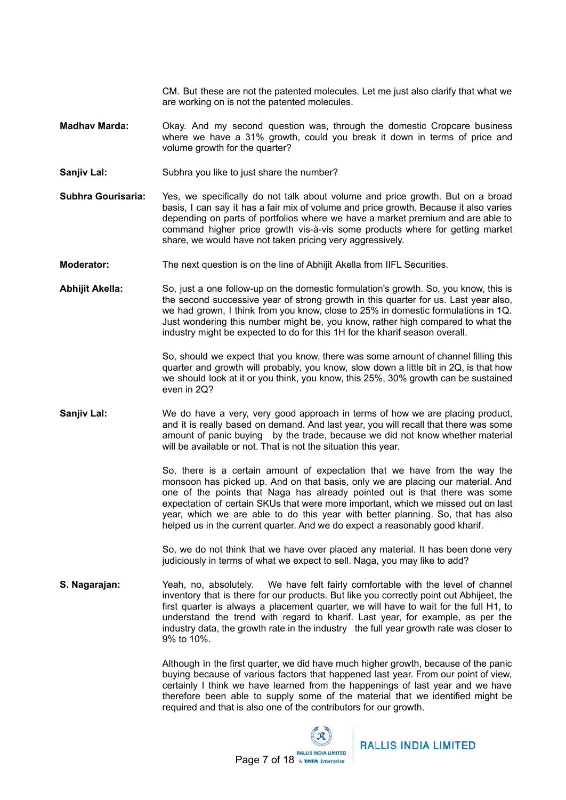CM. But these are not the patented molecules. Let me just also clarify that what we are working on is not the patented molecules.

- **Madhav Marda:** Okay. And my second question was, through the domestic Cropcare business where we have a 31% growth, could you break it down in terms of price and volume growth for the quarter?
- **Sanjiv Lal:** Subhra you like to just share the number?
- **Subhra Gourisaria:** Yes, we specifically do not talk about volume and price growth. But on a broad basis, I can say it has a fair mix of volume and price growth. Because it also varies depending on parts of portfolios where we have a market premium and are able to command higher price growth vis-à-vis some products where for getting market share, we would have not taken pricing very aggressively.
- **Moderator:** The next question is on the line of Abhijit Akella from IIFL Securities.
- **Abhijit Akella:** So, just a one follow-up on the domestic formulation's growth. So, you know, this is the second successive year of strong growth in this quarter for us. Last year also, we had grown, I think from you know, close to 25% in domestic formulations in 1Q. Just wondering this number might be, you know, rather high compared to what the industry might be expected to do for this 1H for the kharif season overall.

So, should we expect that you know, there was some amount of channel filling this quarter and growth will probably, you know, slow down a little bit in 2Q, is that how we should look at it or you think, you know, this 25%, 30% growth can be sustained even in 2Q?

**Sanjiv Lal:** We do have a very, very good approach in terms of how we are placing product, and it is really based on demand. And last year, you will recall that there was some amount of panic buying by the trade, because we did not know whether material will be available or not. That is not the situation this year.

> So, there is a certain amount of expectation that we have from the way the monsoon has picked up. And on that basis, only we are placing our material. And one of the points that Naga has already pointed out is that there was some expectation of certain SKUs that were more important, which we missed out on last year, which we are able to do this year with better planning. So, that has also helped us in the current quarter. And we do expect a reasonably good kharif.

> So, we do not think that we have over placed any material. It has been done very judiciously in terms of what we expect to sell. Naga, you may like to add?

**S. Nagarajan:** Yeah, no, absolutely. We have felt fairly comfortable with the level of channel inventory that is there for our products. But like you correctly point out Abhijeet, the first quarter is always a placement quarter, we will have to wait for the full H1, to understand the trend with regard to kharif. Last year, for example, as per the industry data, the growth rate in the industry the full year growth rate was closer to 9% to 10%.

> Although in the first quarter, we did have much higher growth, because of the panic buying because of various factors that happened last year. From our point of view, certainly I think we have learned from the happenings of last year and we have therefore been able to supply some of the material that we identified might be required and that is also one of the contributors for our growth.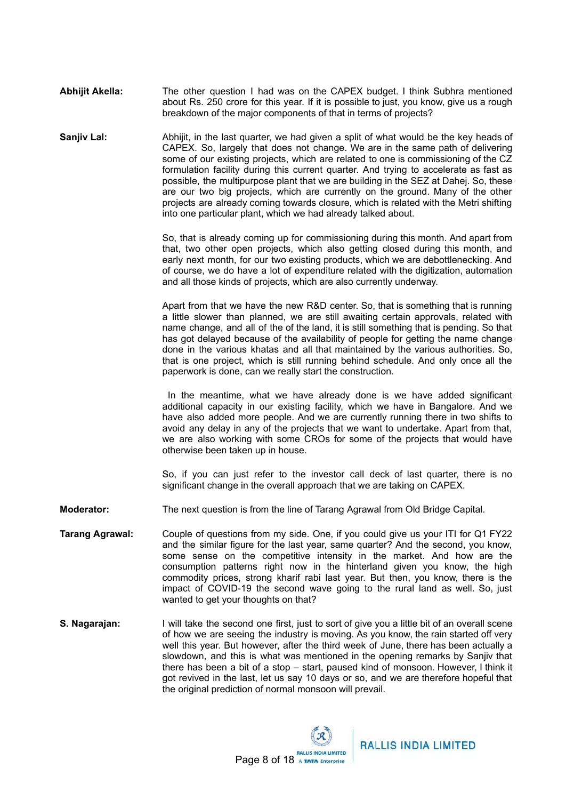- **Abhijit Akella:** The other question I had was on the CAPEX budget. I think Subhra mentioned about Rs. 250 crore for this year. If it is possible to just, you know, give us a rough breakdown of the major components of that in terms of projects?
- **Sanjiv Lal:** Abhijit, in the last quarter, we had given a split of what would be the key heads of CAPEX. So, largely that does not change. We are in the same path of delivering some of our existing projects, which are related to one is commissioning of the CZ formulation facility during this current quarter. And trying to accelerate as fast as possible, the multipurpose plant that we are building in the SEZ at Dahej. So, these are our two big projects, which are currently on the ground. Many of the other projects are already coming towards closure, which is related with the Metri shifting into one particular plant, which we had already talked about.

So, that is already coming up for commissioning during this month. And apart from that, two other open projects, which also getting closed during this month, and early next month, for our two existing products, which we are debottlenecking. And of course, we do have a lot of expenditure related with the digitization, automation and all those kinds of projects, which are also currently underway.

Apart from that we have the new R&D center. So, that is something that is running a little slower than planned, we are still awaiting certain approvals, related with name change, and all of the of the land, it is still something that is pending. So that has got delayed because of the availability of people for getting the name change done in the various khatas and all that maintained by the various authorities. So, that is one project, which is still running behind schedule. And only once all the paperwork is done, can we really start the construction.

In the meantime, what we have already done is we have added significant additional capacity in our existing facility, which we have in Bangalore. And we have also added more people. And we are currently running there in two shifts to avoid any delay in any of the projects that we want to undertake. Apart from that, we are also working with some CROs for some of the projects that would have otherwise been taken up in house.

So, if you can just refer to the investor call deck of last quarter, there is no significant change in the overall approach that we are taking on CAPEX.

**Moderator:** The next question is from the line of Tarang Agrawal from Old Bridge Capital.

- **Tarang Agrawal:** Couple of questions from my side. One, if you could give us your ITI for Q1 FY22 and the similar figure for the last year, same quarter? And the second, you know, some sense on the competitive intensity in the market. And how are the consumption patterns right now in the hinterland given you know, the high commodity prices, strong kharif rabi last year. But then, you know, there is the impact of COVID-19 the second wave going to the rural land as well. So, just wanted to get your thoughts on that?
- **S. Nagarajan:** I will take the second one first, just to sort of give you a little bit of an overall scene of how we are seeing the industry is moving. As you know, the rain started off very well this year. But however, after the third week of June, there has been actually a slowdown, and this is what was mentioned in the opening remarks by Sanjiv that there has been a bit of a stop – start, paused kind of monsoon. However, I think it got revived in the last, let us say 10 days or so, and we are therefore hopeful that the original prediction of normal monsoon will prevail.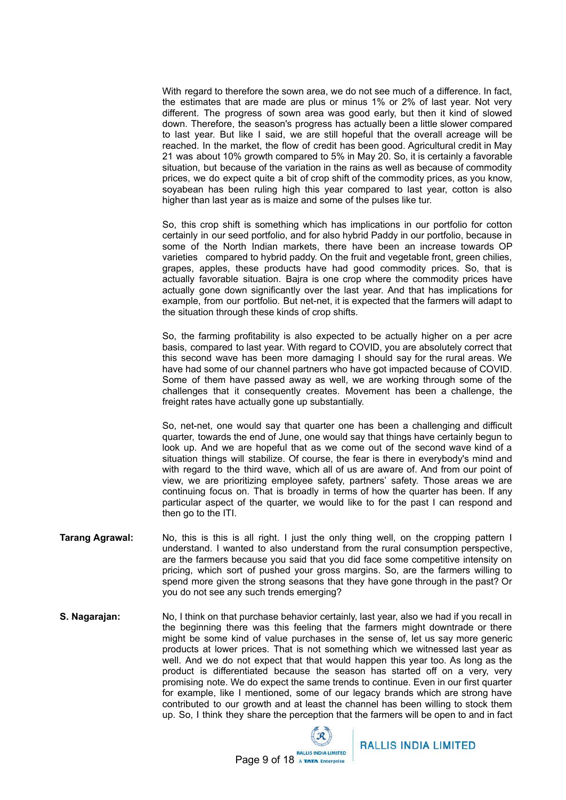With regard to therefore the sown area, we do not see much of a difference. In fact, the estimates that are made are plus or minus 1% or 2% of last year. Not very different. The progress of sown area was good early, but then it kind of slowed down. Therefore, the season's progress has actually been a little slower compared to last year. But like I said, we are still hopeful that the overall acreage will be reached. In the market, the flow of credit has been good. Agricultural credit in May 21 was about 10% growth compared to 5% in May 20. So, it is certainly a favorable situation, but because of the variation in the rains as well as because of commodity prices, we do expect quite a bit of crop shift of the commodity prices, as you know, soyabean has been ruling high this year compared to last year, cotton is also higher than last year as is maize and some of the pulses like tur.

So, this crop shift is something which has implications in our portfolio for cotton certainly in our seed portfolio, and for also hybrid Paddy in our portfolio, because in some of the North Indian markets, there have been an increase towards OP varieties compared to hybrid paddy. On the fruit and vegetable front, green chilies, grapes, apples, these products have had good commodity prices. So, that is actually favorable situation. Bajra is one crop where the commodity prices have actually gone down significantly over the last year. And that has implications for example, from our portfolio. But net-net, it is expected that the farmers will adapt to the situation through these kinds of crop shifts.

So, the farming profitability is also expected to be actually higher on a per acre basis, compared to last year. With regard to COVID, you are absolutely correct that this second wave has been more damaging I should say for the rural areas. We have had some of our channel partners who have got impacted because of COVID. Some of them have passed away as well, we are working through some of the challenges that it consequently creates. Movement has been a challenge, the freight rates have actually gone up substantially.

So, net-net, one would say that quarter one has been a challenging and difficult quarter, towards the end of June, one would say that things have certainly begun to look up. And we are hopeful that as we come out of the second wave kind of a situation things will stabilize. Of course, the fear is there in everybody's mind and with regard to the third wave, which all of us are aware of. And from our point of view, we are prioritizing employee safety, partners' safety. Those areas we are continuing focus on. That is broadly in terms of how the quarter has been. If any particular aspect of the quarter, we would like to for the past I can respond and then go to the ITI.

- **Tarang Agrawal:** No, this is this is all right. I just the only thing well, on the cropping pattern I understand. I wanted to also understand from the rural consumption perspective, are the farmers because you said that you did face some competitive intensity on pricing, which sort of pushed your gross margins. So, are the farmers willing to spend more given the strong seasons that they have gone through in the past? Or you do not see any such trends emerging?
- **S. Nagarajan:** No, I think on that purchase behavior certainly, last year, also we had if you recall in the beginning there was this feeling that the farmers might downtrade or there might be some kind of value purchases in the sense of, let us say more generic products at lower prices. That is not something which we witnessed last year as well. And we do not expect that that would happen this year too. As long as the product is differentiated because the season has started off on a very, very promising note. We do expect the same trends to continue. Even in our first quarter for example, like I mentioned, some of our legacy brands which are strong have contributed to our growth and at least the channel has been willing to stock them up. So, I think they share the perception that the farmers will be open to and in fact

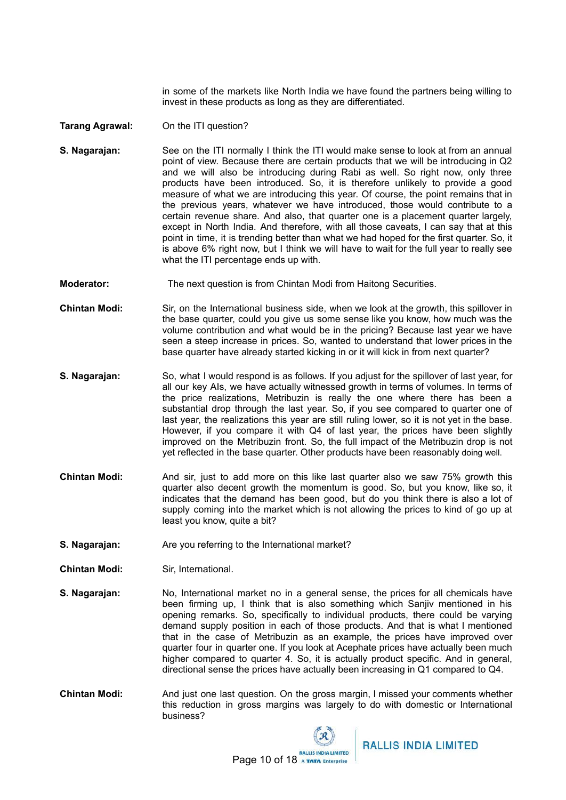in some of the markets like North India we have found the partners being willing to invest in these products as long as they are differentiated.

## **Tarang Agrawal:** On the ITI question?

- **S. Nagarajan:** See on the ITI normally I think the ITI would make sense to look at from an annual point of view. Because there are certain products that we will be introducing in Q2 and we will also be introducing during Rabi as well. So right now, only three products have been introduced. So, it is therefore unlikely to provide a good measure of what we are introducing this year. Of course, the point remains that in the previous years, whatever we have introduced, those would contribute to a certain revenue share. And also, that quarter one is a placement quarter largely, except in North India. And therefore, with all those caveats, I can say that at this point in time, it is trending better than what we had hoped for the first quarter. So, it is above 6% right now, but I think we will have to wait for the full year to really see what the ITI percentage ends up with.
- **Moderator:** The next question is from Chintan Modi from Haitong Securities.
- **Chintan Modi:** Sir, on the International business side, when we look at the growth, this spillover in the base quarter, could you give us some sense like you know, how much was the volume contribution and what would be in the pricing? Because last year we have seen a steep increase in prices. So, wanted to understand that lower prices in the base quarter have already started kicking in or it will kick in from next quarter?
- **S. Nagarajan:** So, what I would respond is as follows. If you adjust for the spillover of last year, for all our key AIs, we have actually witnessed growth in terms of volumes. In terms of the price realizations, Metribuzin is really the one where there has been a substantial drop through the last year. So, if you see compared to quarter one of last year, the realizations this year are still ruling lower, so it is not yet in the base. However, if you compare it with Q4 of last year, the prices have been slightly improved on the Metribuzin front. So, the full impact of the Metribuzin drop is not yet reflected in the base quarter. Other products have been reasonably doing well.
- **Chintan Modi:** And sir, just to add more on this like last quarter also we saw 75% growth this quarter also decent growth the momentum is good. So, but you know, like so, it indicates that the demand has been good, but do you think there is also a lot of supply coming into the market which is not allowing the prices to kind of go up at least you know, quite a bit?
- **S. Nagarajan:** Are you referring to the International market?
- **Chintan Modi:** Sir, International.
- **S. Nagarajan:** No, International market no in a general sense, the prices for all chemicals have been firming up, I think that is also something which Sanjiv mentioned in his opening remarks. So, specifically to individual products, there could be varying demand supply position in each of those products. And that is what I mentioned that in the case of Metribuzin as an example, the prices have improved over quarter four in quarter one. If you look at Acephate prices have actually been much higher compared to quarter 4. So, it is actually product specific. And in general, directional sense the prices have actually been increasing in Q1 compared to Q4.
- **Chintan Modi:** And just one last question. On the gross margin, I missed your comments whether this reduction in gross margins was largely to do with domestic or International business?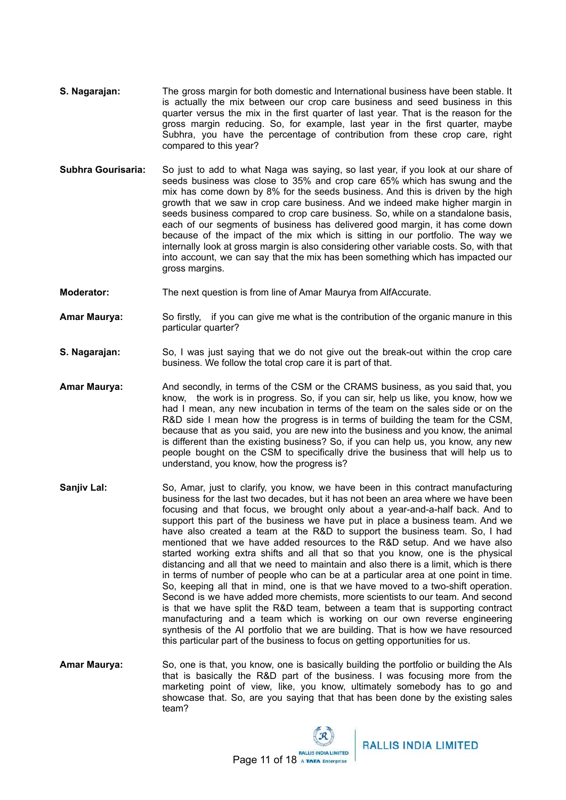- **S. Nagarajan:** The gross margin for both domestic and International business have been stable. It is actually the mix between our crop care business and seed business in this quarter versus the mix in the first quarter of last year. That is the reason for the gross margin reducing. So, for example, last year in the first quarter, maybe Subhra, you have the percentage of contribution from these crop care, right compared to this year?
- **Subhra Gourisaria:** So just to add to what Naga was saying, so last year, if you look at our share of seeds business was close to 35% and crop care 65% which has swung and the mix has come down by 8% for the seeds business. And this is driven by the high growth that we saw in crop care business. And we indeed make higher margin in seeds business compared to crop care business. So, while on a standalone basis, each of our segments of business has delivered good margin, it has come down because of the impact of the mix which is sitting in our portfolio. The way we internally look at gross margin is also considering other variable costs. So, with that into account, we can say that the mix has been something which has impacted our gross margins.
- **Moderator:** The next question is from line of Amar Maurya from AlfAccurate.
- **Amar Maurya:** So firstly, if you can give me what is the contribution of the organic manure in this particular quarter?
- **S. Nagarajan:** So, I was just saying that we do not give out the break-out within the crop care business. We follow the total crop care it is part of that.
- **Amar Maurya:** And secondly, in terms of the CSM or the CRAMS business, as you said that, you know, the work is in progress. So, if you can sir, help us like, you know, how we had I mean, any new incubation in terms of the team on the sales side or on the R&D side I mean how the progress is in terms of building the team for the CSM, because that as you said, you are new into the business and you know, the animal is different than the existing business? So, if you can help us, you know, any new people bought on the CSM to specifically drive the business that will help us to understand, you know, how the progress is?
- **Sanjiv Lal:** So, Amar, just to clarify, you know, we have been in this contract manufacturing business for the last two decades, but it has not been an area where we have been focusing and that focus, we brought only about a year-and-a-half back. And to support this part of the business we have put in place a business team. And we have also created a team at the R&D to support the business team. So, I had mentioned that we have added resources to the R&D setup. And we have also started working extra shifts and all that so that you know, one is the physical distancing and all that we need to maintain and also there is a limit, which is there in terms of number of people who can be at a particular area at one point in time. So, keeping all that in mind, one is that we have moved to a two-shift operation. Second is we have added more chemists, more scientists to our team. And second is that we have split the R&D team, between a team that is supporting contract manufacturing and a team which is working on our own reverse engineering synthesis of the AI portfolio that we are building. That is how we have resourced this particular part of the business to focus on getting opportunities for us.
- **Amar Maurya:** So, one is that, you know, one is basically building the portfolio or building the AIs that is basically the R&D part of the business. I was focusing more from the marketing point of view, like, you know, ultimately somebody has to go and showcase that. So, are you saying that that has been done by the existing sales team?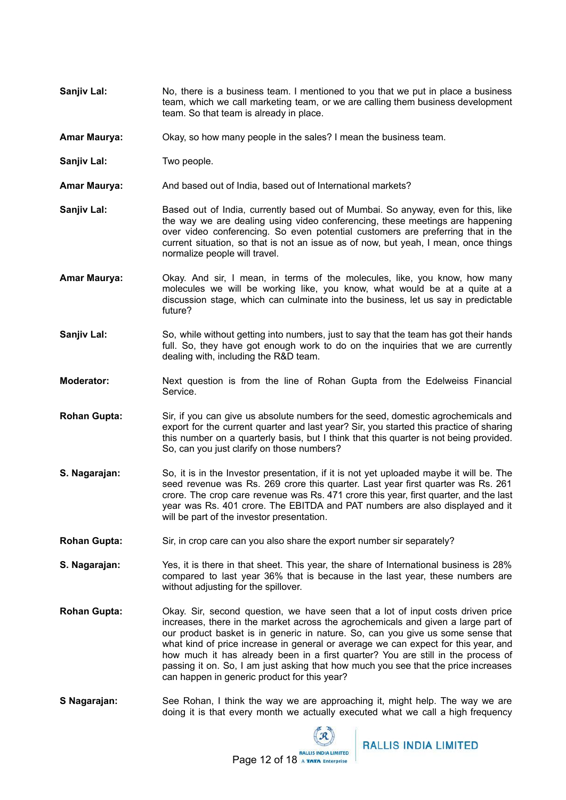- **Sanjiv Lal:** No, there is a business team. I mentioned to you that we put in place a business team, which we call marketing team, or we are calling them business development team. So that team is already in place.
- **Amar Maurya:** Okay, so how many people in the sales? I mean the business team.
- **Sanjiv Lal:** Two people.
- **Amar Maurya:** And based out of India, based out of International markets?
- **Sanjiv Lal:** Based out of India, currently based out of Mumbai. So anyway, even for this, like the way we are dealing using video conferencing, these meetings are happening over video conferencing. So even potential customers are preferring that in the current situation, so that is not an issue as of now, but yeah, I mean, once things normalize people will travel.
- **Amar Maurya:** Okay. And sir, I mean, in terms of the molecules, like, you know, how many molecules we will be working like, you know, what would be at a quite at a discussion stage, which can culminate into the business, let us say in predictable future?
- **Sanjiv Lal:** So, while without getting into numbers, just to say that the team has got their hands full. So, they have got enough work to do on the inquiries that we are currently dealing with, including the R&D team.
- **Moderator:** Next question is from the line of Rohan Gupta from the Edelweiss Financial Service.
- **Rohan Gupta:** Sir, if you can give us absolute numbers for the seed, domestic agrochemicals and export for the current quarter and last year? Sir, you started this practice of sharing this number on a quarterly basis, but I think that this quarter is not being provided. So, can you just clarify on those numbers?
- **S. Nagarajan:** So, it is in the Investor presentation, if it is not yet uploaded maybe it will be. The seed revenue was Rs. 269 crore this quarter. Last year first quarter was Rs. 261 crore. The crop care revenue was Rs. 471 crore this year, first quarter, and the last year was Rs. 401 crore. The EBITDA and PAT numbers are also displayed and it will be part of the investor presentation.
- **Rohan Gupta:** Sir, in crop care can you also share the export number sir separately?
- **S. Nagarajan:** Yes, it is there in that sheet. This year, the share of International business is 28% compared to last year 36% that is because in the last year, these numbers are without adjusting for the spillover.
- **Rohan Gupta:** Okay. Sir, second question, we have seen that a lot of input costs driven price increases, there in the market across the agrochemicals and given a large part of our product basket is in generic in nature. So, can you give us some sense that what kind of price increase in general or average we can expect for this year, and how much it has already been in a first quarter? You are still in the process of passing it on. So, I am just asking that how much you see that the price increases can happen in generic product for this year?
- **S Nagarajan:** See Rohan, I think the way we are approaching it, might help. The way we are doing it is that every month we actually executed what we call a high frequency

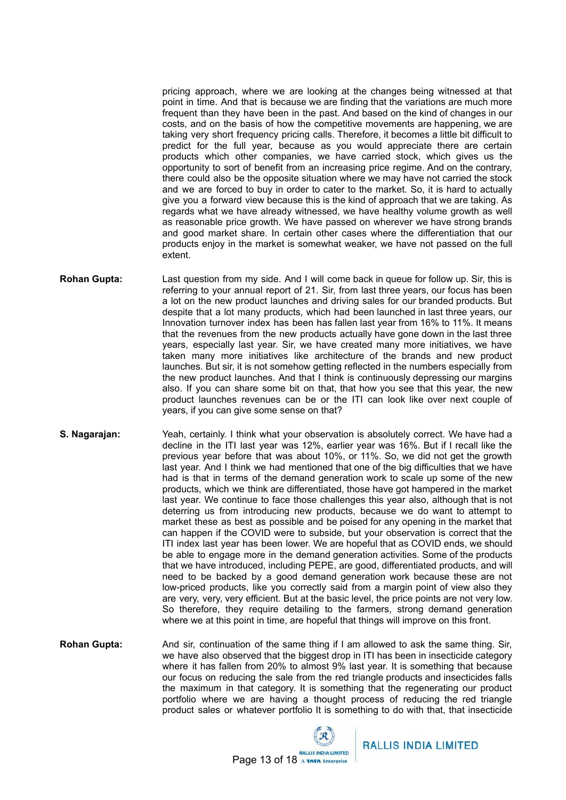pricing approach, where we are looking at the changes being witnessed at that point in time. And that is because we are finding that the variations are much more frequent than they have been in the past. And based on the kind of changes in our costs, and on the basis of how the competitive movements are happening, we are taking very short frequency pricing calls. Therefore, it becomes a little bit difficult to predict for the full year, because as you would appreciate there are certain products which other companies, we have carried stock, which gives us the opportunity to sort of benefit from an increasing price regime. And on the contrary, there could also be the opposite situation where we may have not carried the stock and we are forced to buy in order to cater to the market. So, it is hard to actually give you a forward view because this is the kind of approach that we are taking. As regards what we have already witnessed, we have healthy volume growth as well as reasonable price growth. We have passed on wherever we have strong brands and good market share. In certain other cases where the differentiation that our products enjoy in the market is somewhat weaker, we have not passed on the full extent.

- **Rohan Gupta:** Last question from my side. And I will come back in queue for follow up. Sir, this is referring to your annual report of 21. Sir, from last three years, our focus has been a lot on the new product launches and driving sales for our branded products. But despite that a lot many products, which had been launched in last three years, our Innovation turnover index has been has fallen last year from 16% to 11%. It means that the revenues from the new products actually have gone down in the last three years, especially last year. Sir, we have created many more initiatives, we have taken many more initiatives like architecture of the brands and new product launches. But sir, it is not somehow getting reflected in the numbers especially from the new product launches. And that I think is continuously depressing our margins also. If you can share some bit on that, that how you see that this year, the new product launches revenues can be or the ITI can look like over next couple of years, if you can give some sense on that?
- **S. Nagarajan:** Yeah, certainly. I think what your observation is absolutely correct. We have had a decline in the ITI last year was 12%, earlier year was 16%. But if I recall like the previous year before that was about 10%, or 11%. So, we did not get the growth last year. And I think we had mentioned that one of the big difficulties that we have had is that in terms of the demand generation work to scale up some of the new products, which we think are differentiated, those have got hampered in the market last year. We continue to face those challenges this year also, although that is not deterring us from introducing new products, because we do want to attempt to market these as best as possible and be poised for any opening in the market that can happen if the COVID were to subside, but your observation is correct that the ITI index last year has been lower. We are hopeful that as COVID ends, we should be able to engage more in the demand generation activities. Some of the products that we have introduced, including PEPE, are good, differentiated products, and will need to be backed by a good demand generation work because these are not low-priced products, like you correctly said from a margin point of view also they are very, very, very efficient. But at the basic level, the price points are not very low. So therefore, they require detailing to the farmers, strong demand generation where we at this point in time, are hopeful that things will improve on this front.
- **Rohan Gupta:** And sir, continuation of the same thing if I am allowed to ask the same thing. Sir, we have also observed that the biggest drop in ITI has been in insecticide category where it has fallen from 20% to almost 9% last year. It is something that because our focus on reducing the sale from the red triangle products and insecticides falls the maximum in that category. It is something that the regenerating our product portfolio where we are having a thought process of reducing the red triangle product sales or whatever portfolio It is something to do with that, that insecticide

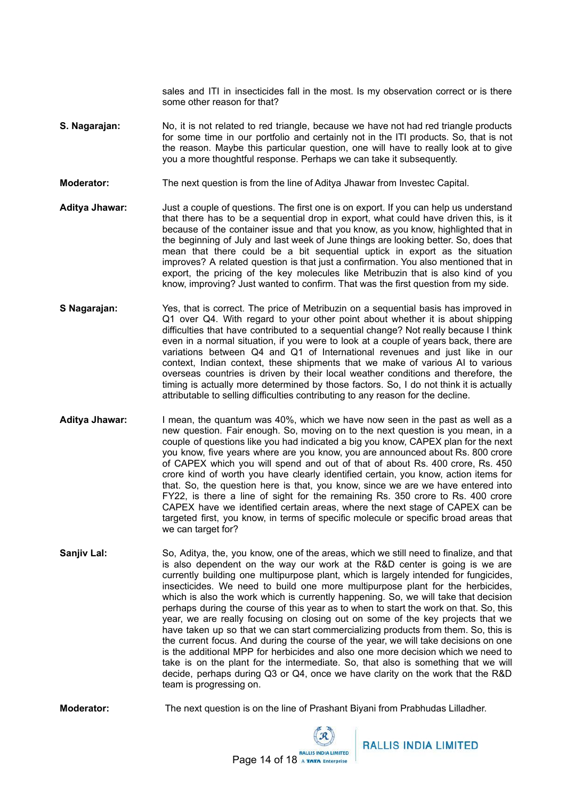sales and ITI in insecticides fall in the most. Is my observation correct or is there some other reason for that?

- **S. Nagarajan:** No, it is not related to red triangle, because we have not had red triangle products for some time in our portfolio and certainly not in the ITI products. So, that is not the reason. Maybe this particular question, one will have to really look at to give you a more thoughtful response. Perhaps we can take it subsequently.
- **Moderator:** The next question is from the line of Aditya Jhawar from Investec Capital.
- **Aditya Jhawar:** Just a couple of questions. The first one is on export. If you can help us understand that there has to be a sequential drop in export, what could have driven this, is it because of the container issue and that you know, as you know, highlighted that in the beginning of July and last week of June things are looking better. So, does that mean that there could be a bit sequential uptick in export as the situation improves? A related question is that just a confirmation. You also mentioned that in export, the pricing of the key molecules like Metribuzin that is also kind of you know, improving? Just wanted to confirm. That was the first question from my side.
- **S Nagarajan:** Yes, that is correct. The price of Metribuzin on a sequential basis has improved in Q1 over Q4. With regard to your other point about whether it is about shipping difficulties that have contributed to a sequential change? Not really because I think even in a normal situation, if you were to look at a couple of years back, there are variations between Q4 and Q1 of International revenues and just like in our context, Indian context, these shipments that we make of various AI to various overseas countries is driven by their local weather conditions and therefore, the timing is actually more determined by those factors. So, I do not think it is actually attributable to selling difficulties contributing to any reason for the decline.
- **Aditya Jhawar:** I mean, the quantum was 40%, which we have now seen in the past as well as a new question. Fair enough. So, moving on to the next question is you mean, in a couple of questions like you had indicated a big you know, CAPEX plan for the next you know, five years where are you know, you are announced about Rs. 800 crore of CAPEX which you will spend and out of that of about Rs. 400 crore, Rs. 450 crore kind of worth you have clearly identified certain, you know, action items for that. So, the question here is that, you know, since we are we have entered into FY22, is there a line of sight for the remaining Rs. 350 crore to Rs. 400 crore CAPEX have we identified certain areas, where the next stage of CAPEX can be targeted first, you know, in terms of specific molecule or specific broad areas that we can target for?
- **Sanjiv Lal:** So, Aditya, the, you know, one of the areas, which we still need to finalize, and that is also dependent on the way our work at the R&D center is going is we are currently building one multipurpose plant, which is largely intended for fungicides, insecticides. We need to build one more multipurpose plant for the herbicides, which is also the work which is currently happening. So, we will take that decision perhaps during the course of this year as to when to start the work on that. So, this year, we are really focusing on closing out on some of the key projects that we have taken up so that we can start commercializing products from them. So, this is the current focus. And during the course of the year, we will take decisions on one is the additional MPP for herbicides and also one more decision which we need to take is on the plant for the intermediate. So, that also is something that we will decide, perhaps during Q3 or Q4, once we have clarity on the work that the R&D team is progressing on.

**Moderator:** The next question is on the line of Prashant Biyani from Prabhudas Lilladher.

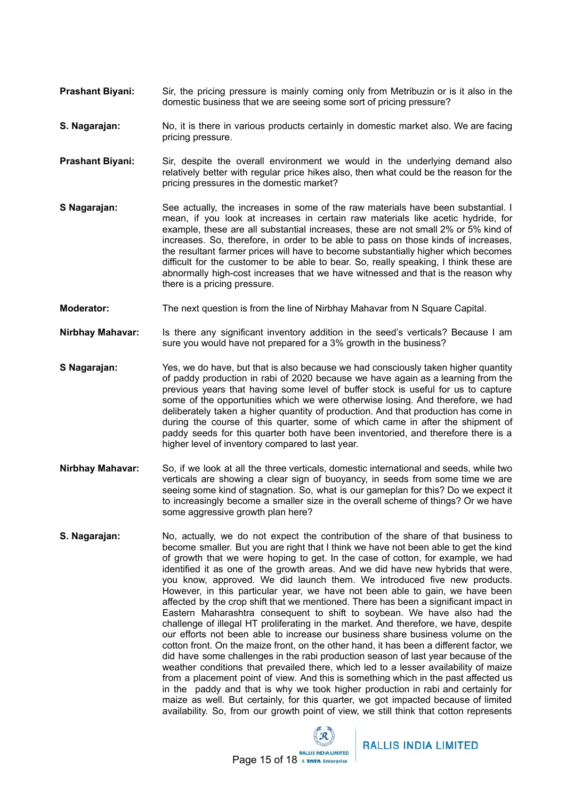- **Prashant Biyani:** Sir, the pricing pressure is mainly coming only from Metribuzin or is it also in the domestic business that we are seeing some sort of pricing pressure?
- **S. Nagarajan:** No, it is there in various products certainly in domestic market also. We are facing pricing pressure.
- **Prashant Biyani:** Sir, despite the overall environment we would in the underlying demand also relatively better with regular price hikes also, then what could be the reason for the pricing pressures in the domestic market?
- **S Nagarajan:** See actually, the increases in some of the raw materials have been substantial. I mean, if you look at increases in certain raw materials like acetic hydride, for example, these are all substantial increases, these are not small 2% or 5% kind of increases. So, therefore, in order to be able to pass on those kinds of increases, the resultant farmer prices will have to become substantially higher which becomes difficult for the customer to be able to bear. So, really speaking, I think these are abnormally high-cost increases that we have witnessed and that is the reason why there is a pricing pressure.
- **Moderator:** The next question is from the line of Nirbhay Mahavar from N Square Capital.
- **Nirbhay Mahavar:** Is there any significant inventory addition in the seed's verticals? Because I am sure you would have not prepared for a 3% growth in the business?
- **S Nagarajan:** Yes, we do have, but that is also because we had consciously taken higher quantity of paddy production in rabi of 2020 because we have again as a learning from the previous years that having some level of buffer stock is useful for us to capture some of the opportunities which we were otherwise losing. And therefore, we had deliberately taken a higher quantity of production. And that production has come in during the course of this quarter, some of which came in after the shipment of paddy seeds for this quarter both have been inventoried, and therefore there is a higher level of inventory compared to last year.
- **Nirbhay Mahavar:** So, if we look at all the three verticals, domestic international and seeds, while two verticals are showing a clear sign of buoyancy, in seeds from some time we are seeing some kind of stagnation. So, what is our gameplan for this? Do we expect it to increasingly become a smaller size in the overall scheme of things? Or we have some aggressive growth plan here?
- **S. Nagarajan:** No, actually, we do not expect the contribution of the share of that business to become smaller. But you are right that I think we have not been able to get the kind of growth that we were hoping to get. In the case of cotton, for example, we had identified it as one of the growth areas. And we did have new hybrids that were, you know, approved. We did launch them. We introduced five new products. However, in this particular year, we have not been able to gain, we have been affected by the crop shift that we mentioned. There has been a significant impact in Eastern Maharashtra consequent to shift to soybean. We have also had the challenge of illegal HT proliferating in the market. And therefore, we have, despite our efforts not been able to increase our business share business volume on the cotton front. On the maize front, on the other hand, it has been a different factor, we did have some challenges in the rabi production season of last year because of the weather conditions that prevailed there, which led to a lesser availability of maize from a placement point of view. And this is something which in the past affected us in the paddy and that is why we took higher production in rabi and certainly for maize as well. But certainly, for this quarter, we got impacted because of limited availability. So, from our growth point of view, we still think that cotton represents

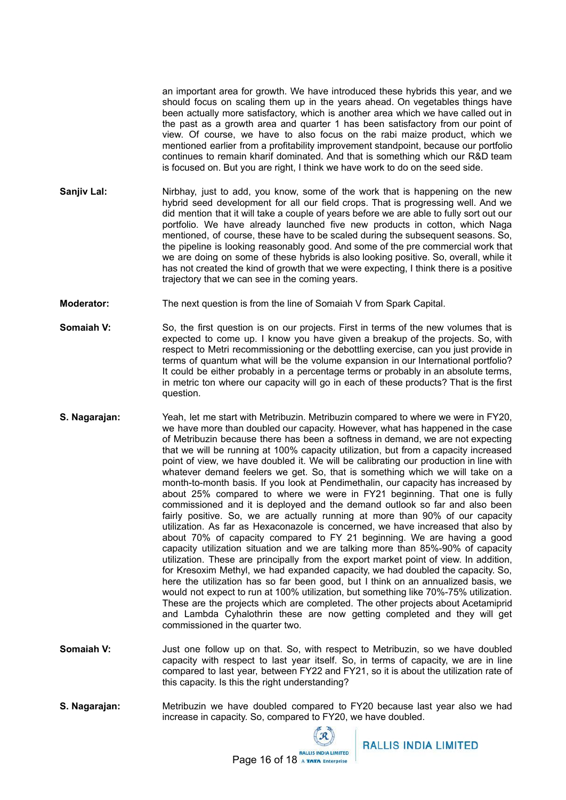an important area for growth. We have introduced these hybrids this year, and we should focus on scaling them up in the years ahead. On vegetables things have been actually more satisfactory, which is another area which we have called out in the past as a growth area and quarter 1 has been satisfactory from our point of view. Of course, we have to also focus on the rabi maize product, which we mentioned earlier from a profitability improvement standpoint, because our portfolio continues to remain kharif dominated. And that is something which our R&D team is focused on. But you are right, I think we have work to do on the seed side.

- **Sanjiv Lal:** Nirbhay, just to add, you know, some of the work that is happening on the new hybrid seed development for all our field crops. That is progressing well. And we did mention that it will take a couple of years before we are able to fully sort out our portfolio. We have already launched five new products in cotton, which Naga mentioned, of course, these have to be scaled during the subsequent seasons. So, the pipeline is looking reasonably good. And some of the pre commercial work that we are doing on some of these hybrids is also looking positive. So, overall, while it has not created the kind of growth that we were expecting, I think there is a positive trajectory that we can see in the coming years.
- **Moderator:** The next question is from the line of Somaiah V from Spark Capital.
- **Somaiah <b>V**: So, the first question is on our projects. First in terms of the new volumes that is expected to come up. I know you have given a breakup of the projects. So, with respect to Metri recommissioning or the debottling exercise, can you just provide in terms of quantum what will be the volume expansion in our International portfolio? It could be either probably in a percentage terms or probably in an absolute terms, in metric ton where our capacity will go in each of these products? That is the first question.
- **S. Nagarajan:** Yeah, let me start with Metribuzin. Metribuzin compared to where we were in FY20, we have more than doubled our capacity. However, what has happened in the case of Metribuzin because there has been a softness in demand, we are not expecting that we will be running at 100% capacity utilization, but from a capacity increased point of view, we have doubled it. We will be calibrating our production in line with whatever demand feelers we get. So, that is something which we will take on a month-to-month basis. If you look at Pendimethalin, our capacity has increased by about 25% compared to where we were in FY21 beginning. That one is fully commissioned and it is deployed and the demand outlook so far and also been fairly positive. So, we are actually running at more than 90% of our capacity utilization. As far as Hexaconazole is concerned, we have increased that also by about 70% of capacity compared to FY 21 beginning. We are having a good capacity utilization situation and we are talking more than 85%-90% of capacity utilization. These are principally from the export market point of view. In addition, for Kresoxim Methyl, we had expanded capacity, we had doubled the capacity. So, here the utilization has so far been good, but I think on an annualized basis, we would not expect to run at 100% utilization, but something like 70%-75% utilization. These are the projects which are completed. The other projects about Acetamiprid and Lambda Cyhalothrin these are now getting completed and they will get commissioned in the quarter two.
- **Somaiah V:** Just one follow up on that. So, with respect to Metribuzin, so we have doubled capacity with respect to last year itself. So, in terms of capacity, we are in line compared to last year, between FY22 and FY21, so it is about the utilization rate of this capacity. Is this the right understanding?
- **S. Nagarajan:** Metribuzin we have doubled compared to FY20 because last year also we had increase in capacity. So, compared to FY20, we have doubled.

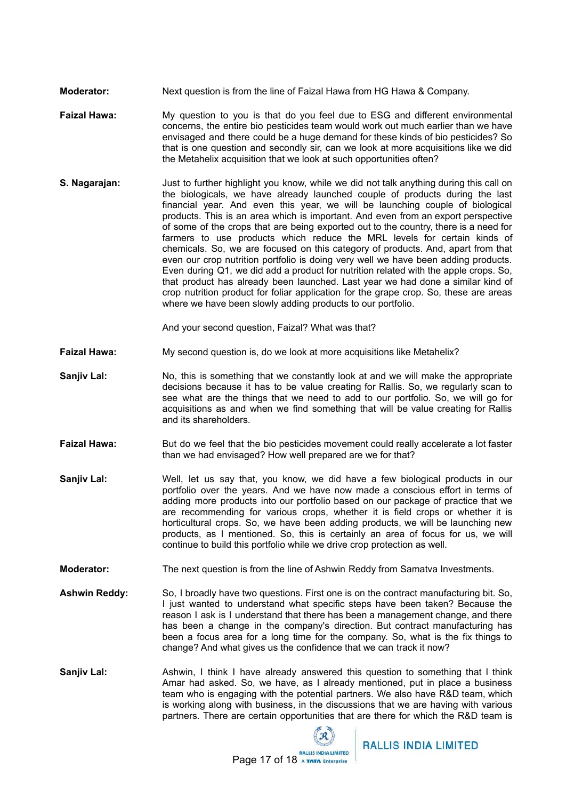- **Moderator:** Next question is from the line of Faizal Hawa from HG Hawa & Company.
- **Faizal Hawa:** My question to you is that do you feel due to ESG and different environmental concerns, the entire bio pesticides team would work out much earlier than we have envisaged and there could be a huge demand for these kinds of bio pesticides? So that is one question and secondly sir, can we look at more acquisitions like we did the Metahelix acquisition that we look at such opportunities often?
- **S. Nagarajan:** Just to further highlight you know, while we did not talk anything during this call on the biologicals, we have already launched couple of products during the last financial year. And even this year, we will be launching couple of biological products. This is an area which is important. And even from an export perspective of some of the crops that are being exported out to the country, there is a need for farmers to use products which reduce the MRL levels for certain kinds of chemicals. So, we are focused on this category of products. And, apart from that even our crop nutrition portfolio is doing very well we have been adding products. Even during Q1, we did add a product for nutrition related with the apple crops. So, that product has already been launched. Last year we had done a similar kind of crop nutrition product for foliar application for the grape crop. So, these are areas where we have been slowly adding products to our portfolio.

And your second question, Faizal? What was that?

- **Faizal Hawa:** My second question is, do we look at more acquisitions like Metahelix?
- **Sanjiv Lal:** No, this is something that we constantly look at and we will make the appropriate decisions because it has to be value creating for Rallis. So, we regularly scan to see what are the things that we need to add to our portfolio. So, we will go for acquisitions as and when we find something that will be value creating for Rallis and its shareholders.
- **Faizal Hawa:** But do we feel that the bio pesticides movement could really accelerate a lot faster than we had envisaged? How well prepared are we for that?
- **Sanjiv Lal:** Well, let us say that, you know, we did have a few biological products in our portfolio over the years. And we have now made a conscious effort in terms of adding more products into our portfolio based on our package of practice that we are recommending for various crops, whether it is field crops or whether it is horticultural crops. So, we have been adding products, we will be launching new products, as I mentioned. So, this is certainly an area of focus for us, we will continue to build this portfolio while we drive crop protection as well.
- **Moderator:** The next question is from the line of Ashwin Reddy from Samatva Investments.
- **Ashwin Reddy:** So, I broadly have two questions. First one is on the contract manufacturing bit. So, I just wanted to understand what specific steps have been taken? Because the reason I ask is I understand that there has been a management change, and there has been a change in the company's direction. But contract manufacturing has been a focus area for a long time for the company. So, what is the fix things to change? And what gives us the confidence that we can track it now?
- **Sanjiv Lal:** Ashwin, I think I have already answered this question to something that I think Amar had asked. So, we have, as I already mentioned, put in place a business team who is engaging with the potential partners. We also have R&D team, which is working along with business, in the discussions that we are having with various partners. There are certain opportunities that are there for which the R&D team is